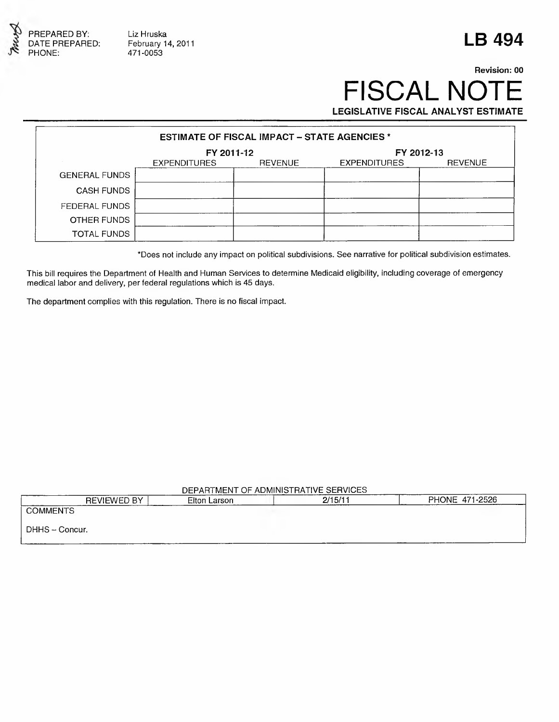

Liz Hruska February 14, 2011 471 -0053

# **LB 494**

### Revision: 00 FISCAL NOTE **LEGISLATIVE FISCAL ANALYST ESTIMATE**

**ESTIMATE OF FISCAL IMPACT - STATE AGENCIES \* FY 2011-12**<br>EXPENDITURES REVENUE EXPENDITURES EXPENDITURES REVENUE GENERAL FUNDS CASH FUNDS FEDERAL FUNDS OTHER FUNDS TOTAL FUNDS

\*Does not include any impact on political subdivisions. See narrative for political subdivision estimates.

This bill requires the Department of Health and Human Services to determine Medicaid eligibility, including coverage of emergency medical labor and delivery, per federal regulations which is 45 days.

The department complies with this regulation. There is no fiscal impact.

#### DEPARTMENT OF ADMINISTRATIVE SERVICES

| <b>REVIEWED BY</b><br>------- | Elton Larson | 2/15/11 | PHONE 471-2526 |
|-------------------------------|--------------|---------|----------------|
| <b>COMMENTS</b>               |              |         |                |
| DHHS - Concur.                |              |         |                |